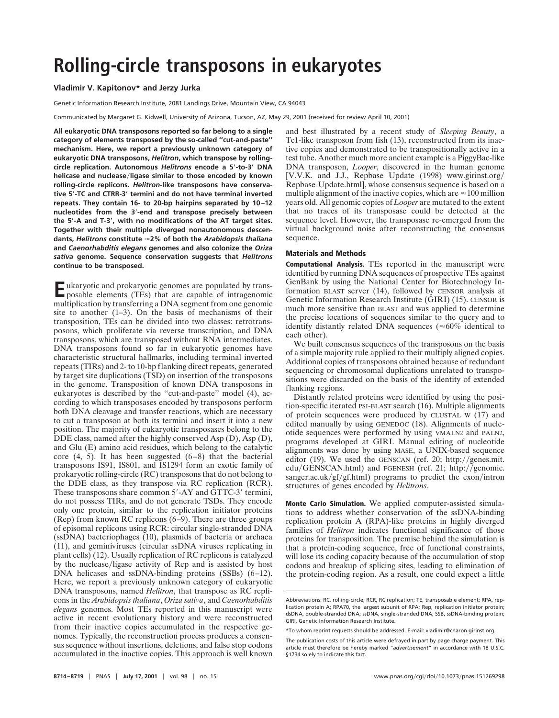## **Rolling-circle transposons in eukaryotes**

## **Vladimir V. Kapitonov\* and Jerzy Jurka**

Genetic Information Research Institute, 2081 Landings Drive, Mountain View, CA 94043

Communicated by Margaret G. Kidwell, University of Arizona, Tucson, AZ, May 29, 2001 (received for review April 10, 2001)

**All eukaryotic DNA transposons reported so far belong to a single category of elements transposed by the so-called ''cut-and-paste'' mechanism. Here, we report a previously unknown category of eukaryotic DNA transposons,** *Helitron***, which transpose by rollingcircle replication. Autonomous** *Helitrons* **encode a 5**\***-to-3**\* **DNA helicase and nuclease**y**ligase similar to those encoded by known rolling-circle replicons.** *Helitron***-like transposons have conservative 5**\***-TC and CTRR-3**\* **termini and do not have terminal inverted repeats. They contain 16- to 20-bp hairpins separated by 10–12 nucleotides from the 3**\***-end and transpose precisely between the 5**\***-A and T-3**\***, with no modifications of the AT target sites. Together with their multiple diverged nonautonomous descendants,** *Helitrons* **constitute** '**2% of both the** *Arabidopsis thaliana* **and** *Caenorhabditis elegans* **genomes and also colonize the** *Oriza sativa* **genome. Sequence conservation suggests that** *Helitrons* **continue to be transposed.**

Eukaryotic and prokaryotic genomes are populated by trans-<br>posable elements (TEs) that are capable of intragenomic multiplication by transferring a DNA segment from one genomic site to another  $(1-3)$ . On the basis of mechanisms of their transposition, TEs can be divided into two classes: retrotransposons, which proliferate via reverse transcription, and DNA transposons, which are transposed without RNA intermediates. DNA transposons found so far in eukaryotic genomes have characteristic structural hallmarks, including terminal inverted repeats (TIRs) and 2- to 10-bp flanking direct repeats, generated by target site duplications (TSD) on insertion of the transposons in the genome. Transposition of known DNA transposons in eukaryotes is described by the ''cut-and-paste'' model (4), according to which transposases encoded by transposons perform both DNA cleavage and transfer reactions, which are necessary to cut a transposon at both its termini and insert it into a new position. The majority of eukaryotic transposases belong to the DDE class, named after the highly conserved Asp (D), Asp (D), and Glu (E) amino acid residues, which belong to the catalytic core  $(4, 5)$ . It has been suggested  $(6-8)$  that the bacterial transposons IS91, IS801, and IS1294 form an exotic family of prokaryotic rolling-circle (RC) transposons that do not belong to the DDE class, as they transpose via RC replication (RCR). These transposons share common 5'-AY and GTTC-3' termini, do not possess TIRs, and do not generate TSDs. They encode only one protein, similar to the replication initiator proteins (Rep) from known RC replicons (6–9). There are three groups of episomal replicons using RCR: circular single-stranded DNA (ssDNA) bacteriophages (10), plasmids of bacteria or archaea (11), and geminiviruses (circular ssDNA viruses replicating in plant cells) (12). Usually replication of RC replicons is catalyzed by the nuclease/ligase activity of Rep and is assisted by host DNA helicases and ssDNA-binding proteins (SSBs) (6–12). Here, we report a previously unknown category of eukaryotic DNA transposons, named *Helitron*, that transpose as RC replicons in the *Arabidopsis thaliana*, *Oriza sativa*, and *Caenorhabditis elegans* genomes. Most TEs reported in this manuscript were active in recent evolutionary history and were reconstructed from their inactive copies accumulated in the respective genomes. Typically, the reconstruction process produces a consensus sequence without insertions, deletions, and false stop codons accumulated in the inactive copies. This approach is well known and best illustrated by a recent study of *Sleeping Beauty*, a Tc1-like transposon from fish (13), reconstructed from its inactive copies and demonstrated to be transpositionally active in a test tube. Another much more ancient example is a PiggyBac-like DNA transposon, *Looper*, discovered in the human genome [V.V.K. and J.J., Repbase Update (1998) www.girinst.org/ Repbase\_Update.html], whose consensus sequence is based on a multiple alignment of the inactive copies, which are  $\approx$  100 million years old. All genomic copies of *Looper* are mutated to the extent that no traces of its transposase could be detected at the sequence level. However, the transposase re-emerged from the virtual background noise after reconstructing the consensus sequence.

## **Materials and Methods**

**Computational Analysis.** TEs reported in the manuscript were identified by running DNA sequences of prospective TEs against GenBank by using the National Center for Biotechnology Information BLAST server (14), followed by CENSOR analysis at Genetic Information Research Institute (GIRI) (15). CENSOR is much more sensitive than BLAST and was applied to determine the precise locations of sequences similar to the query and to identify distantly related DNA sequences ( $\approx 60\%$  identical to each other).

We built consensus sequences of the transposons on the basis of a simple majority rule applied to their multiply aligned copies. Additional copies of transposons obtained because of redundant sequencing or chromosomal duplications unrelated to transpositions were discarded on the basis of the identity of extended flanking regions.

Distantly related proteins were identified by using the position-specific iterated PSI-BLAST search (16). Multiple alignments of protein sequences were produced by CLUSTAL W (17) and edited manually by using GENEDOC (18). Alignments of nucleotide sequences were performed by using VMALN2 and PALN2, programs developed at GIRI. Manual editing of nucleotide alignments was done by using MASE, a UNIX-based sequence editor (19). We used the GENSCAN (ref. 20; http://genes.mit.  $edu/GENSCAN.html$ ) and FGENESH (ref. 21; http://genomic. sanger.ac.uk/gf/gf.html) programs to predict the exon/intron structures of genes encoded by *Helitrons*.

**Monte Carlo Simulation.** We applied computer-assisted simulations to address whether conservation of the ssDNA-binding replication protein A (RPA)-like proteins in highly diverged families of *Helitron* indicates functional significance of those proteins for transposition. The premise behind the simulation is that a protein-coding sequence, free of functional constraints, will lose its coding capacity because of the accumulation of stop codons and breakup of splicing sites, leading to elimination of the protein-coding region. As a result, one could expect a little

Abbreviations: RC, rolling-circle; RCR, RC replication; TE, transposable element; RPA, replication protein A; RPA70, the largest subunit of RPA; Rep, replication initiator protein; dsDNA, double-stranded DNA; ssDNA, single-stranded DNA; SSB, ssDNA-binding protein; GIRI, Genetic Information Research Institute.

<sup>\*</sup>To whom reprint requests should be addressed. E-mail: vladimir@charon.girinst.org.

The publication costs of this article were defrayed in part by page charge payment. This article must therefore be hereby marked "*advertisement*" in accordance with 18 U.S.C. §1734 solely to indicate this fact.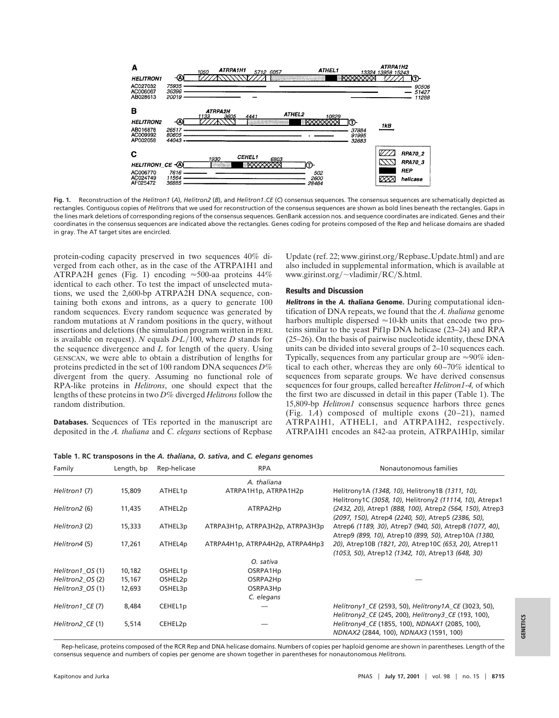

Fig. 1. Reconstruction of the *Helitron1* (A), *Helitron2* (B), and *Helitron1*.CE (C) consensus sequences. The consensus sequences are schematically depicted as rectangles. Contiguous copies of *Helitrons* that we used for reconstruction of the consensus sequences are shown as bold lines beneath the rectangles. Gaps in the lines mark deletions of corresponding regions of the consensus sequences. GenBank accession nos. and sequence coordinates are indicated. Genes and their coordinates in the consensus sequences are indicated above the rectangles. Genes coding for proteins composed of the Rep and helicase domains are shaded in gray. The AT target sites are encircled.

protein-coding capacity preserved in two sequences 40% diverged from each other, as in the case of the ATRPA1H1 and ATRPA2H genes (Fig. 1) encoding  $\approx$  500-aa proteins 44% identical to each other. To test the impact of unselected mutations, we used the 2,600-bp ATRPA2H DNA sequence, containing both exons and introns, as a query to generate 100 random sequences. Every random sequence was generated by random mutations at *N* random positions in the query, without insertions and deletions (the simulation program written in PERL is available on request). *N* equals  $D<sup>L</sup>/100$ , where *D* stands for the sequence divergence and *L* for length of the query. Using GENSCAN, we were able to obtain a distribution of lengths for proteins predicted in the set of 100 random DNA sequences *D*% divergent from the query. Assuming no functional role of RPA-like proteins in *Helitrons*, one should expect that the lengths of these proteins in two *D*% diverged *Helitrons* follow the random distribution.

**Databases.** Sequences of TEs reported in the manuscript are deposited in the *A. thaliana* and *C. elegans* sections of Repbase Update (ref. 22; www.girinst.org/Repbase\_Update.html) and are also included in supplemental information, which is available at www.girinst.org/ $\sim$ vladimir/RC/S.html.

## **Results and Discussion**

**Helitrons in the A. thaliana Genome.** During computational identification of DNA repeats, we found that the *A. thaliana* genome harbors multiple dispersed  $\approx$ 10-kb units that encode two proteins similar to the yeast Pif1p DNA helicase (23–24) and RPA (25–26). On the basis of pairwise nucleotide identity, these DNA units can be divided into several groups of 2–10 sequences each. Typically, sequences from any particular group are  $\approx 90\%$  identical to each other, whereas they are only 60–70% identical to sequences from separate groups. We have derived consensus sequences for four groups, called hereafter *Helitron1*-*4,* of which the first two are discussed in detail in this paper (Table 1). The 15,809-bp *Helitron1* consensus sequence harbors three genes (Fig. 1*A*) composed of multiple exons (20–21), named ATRPA1H1, ATHEL1, and ATRPA1H2, respectively. ATRPA1H1 encodes an 842-aa protein, ATRPA1H1p, similar

|  |  |  | Table 1. RC transposons in the A. thaliana, O. sativa, and C. elegans genomes |  |
|--|--|--|-------------------------------------------------------------------------------|--|
|  |  |  |                                                                               |  |

| Family           | Length, bp | Rep-helicase | <b>RPA</b>                      | Nonautonomous families                                                                                          |
|------------------|------------|--------------|---------------------------------|-----------------------------------------------------------------------------------------------------------------|
|                  |            |              | A. thaliana                     |                                                                                                                 |
| Helitron1 (7)    | 15,809     | ATHEL1p      | ATRPA1H1p, ATRPA1H2p            | Helitrony1A (1348, 10), Helitrony1B (1311, 10),<br>Helitrony1C (3058, 10), Helitrony2 (11114, 10), Atrepx1      |
| Helitron2 (6)    | 11,435     | ATHEL2p      | ATRPA2Hp                        | (2432, 20), Atrep1 (888, 100), Atrep2 (564, 150), Atrep3<br>(2097, 150), Atrep4 (2240, 50), Atrep5 (2386, 50),  |
| Helitron3 (2)    | 15,333     | ATHEL3p      | ATRPA3H1p, ATRPA3H2p, ATRPA3H3p | Atrep6 (1189, 30), Atrep7 (940, 50), Atrep8 (1077, 40),<br>Atrep9 (899, 10), Atrep10 (899, 50), Atrep10A (1380, |
| Helitron4 (5)    | 17,261     | ATHEL4p      | ATRPA4H1p, ATRPA4H2p, ATRPA4Hp3 | 20), Atrep10B (1821, 20), Atrep10C (653, 20), Atrep11<br>(1053, 50), Atrep12 (1342, 10), Atrep13 (648, 30)      |
|                  |            |              | O. sativa                       |                                                                                                                 |
| Helitron1 OS (1) | 10,182     | OSHEL1p      | OSRPA1Hp                        |                                                                                                                 |
| Helitron2_OS (2) | 15,167     | OSHEL2p      | OSRPA2Hp                        |                                                                                                                 |
| Helitron3 OS (1) | 12,693     | OSHEL3p      | OSRPA3Hp                        |                                                                                                                 |
|                  |            |              | C. elegans                      |                                                                                                                 |
| Helitron1_CE (7) | 8,484      | CEHEL1p      |                                 | Helitrony1 CE (2593, 50), Helitrony1A CE (3023, 50),<br>Helitrony2_CE (245, 200), Helitrony3_CE (193, 100),     |
| Helitron2 CE (1) | 5,514      | CEHEL2p      |                                 | Helitrony4 CE (1855, 100), NDNAX1 (2085, 100),<br>NDNAX2 (2844, 100), NDNAX3 (1591, 100)                        |

Rep-helicase, proteins composed of the RCR Rep and DNA helicase domains. Numbers of copies per haploid genome are shown in parentheses. Length of the consensus sequence and numbers of copies per genome are shown together in parentheses for nonautonomous *Helitrons.*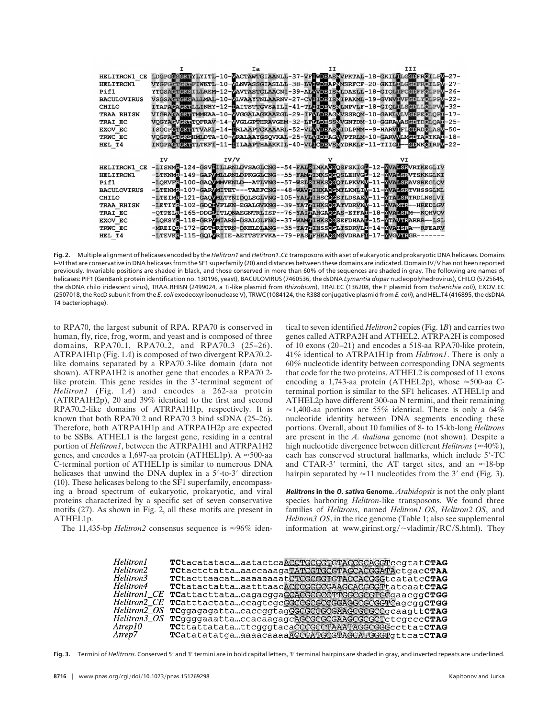|                    |    | Iа   | III                                                                           |
|--------------------|----|------|-------------------------------------------------------------------------------|
| HELITRON1 CE       |    |      | LDGPGCSGKWYLYITL-10-WACTAWTGIAANLL-37-VFEWDBASVVPKTAL-18-GKILLLGEDFROILPV-27- |
| HELITRON1          |    |      | VYGFGGTGKWFIWKTL-10-WLNVASSGIASLLL-38-LVWWDRAPVMSRFCF-20-GKILFLGGDFROILPV-27- |
| Pif1               |    |      | YTGSACTGKSILLREM-12-WAVTASTGLAACNI-39-ALWVDEISVLDAELL-18-GIOLIFCGDFFOLPPV-26- |
| <b>BACULOVIRUS</b> |    |      | VSGSACTCKSALLMAL-10-WLVAAYTNLAARNV-27-CVLIDEISMIPAKML-19-GVNVIVFGDLYCLPPV-22- |
| <b>CHILO</b>       |    |      | ITAPACAGKWLLINHY-12-MAITSTTGVSAILI-41-TLHIDBVSVLNPVLF-18-GIOLILSGDLLOLPVV-32- |
| <b>TRAA RHISN</b>  |    |      | VIGRAGAGKWTMMKAA-10-WVGGALAGKAAEGL-29-IFVIDEAGVVSSROM-10-GAKIVLVGDPEOLOPI-17- |
| TRAI EC            |    |      | VOGYACVEKTTOFRAV-14-WVGLGPTHRAVGEM-32-LFLLDBSSVVGNTDM-10-GGRAVASGDTDOLOAT-25- |
| <b>EXOV EC</b>     |    |      | ISGGPCTGKWTTVAKL-14-WRLAAPTGKAAARL-52-VLVVDBASVIDLPMM--9-HARVWFLGDRDOLASV-50- |
| TRWC EC            |    |      | VOGFACTGKSHMLDTA-10-WRALAAYGSQVKAL-25-VLVIDEAGVVPTRLM-10-GARVVLMGDTACTKAL-18- |
| HEL T4             |    |      | INGPACTEKTITKFT-11-HILAAPTHAAKKIL-40-VIHCDBVSMYDRKLF-11-TIIGH--EDNKOIRPV-22-  |
|                    |    |      |                                                                               |
|                    |    |      |                                                                               |
|                    | IV | IV/V | vт                                                                            |
| HELITRON1 CE       |    |      | -LISNMR-124-GSVIILLRNLDVSAGLCNG--54-FALSINKAOGOSFSKIGE-12-FVALSRVRTKEGLIV     |
| <b>HELITRON1</b>   |    |      | -LTKNMR-149-GAPMMLLRNLDPKGGLCNG--55-FAMTINKSOGOSLEHVGL-12-FVALSRVTSKKGLKI     |
| Pif1               |    |      | -LOKVFR-100-GAOVMMVKNLD--ATLVNG--57-WSLSIHKSOCOTLPKVKV-11-WVALSRAVSREGLOV     |
| <b>BACULOVIRUS</b> |    |      | -LTENMR-107-GARVMITHT---TAEFCNG--48-WAVFIHKAOCMTLKNLIV-11-YVALSRTVHSSGLKL     |
| <b>CHILO</b>       |    |      | -LTEIMR-121-GAOVMLTYNIDOLSGLVNG-105-YALTIHSCOCSTLDSAEV-11-FTALSRTRDLNSLVI     |
| <b>TRAA RHISN</b>  |    |      | -LETIYR-102-GDONVFLKN-EGALGVKNG--39-YATWIHKSOCATVDRVKV-11-WVAVWR--HREDLGV     |
| TRAI EC            |    |      | -OTPELR-165-DDGLITLONAEGNTRLISP--76-YAIRAHGAOCAS-ETFAH-18-NVALSRM--KOHVOV     |
| <b>EXOV EC</b>     |    |      | -LOKSYR-118-GRPWMIARN-DSALGLFNG--37-WAMPIHKSOCSEFDHAAD-15-FTAVFRARRR--LSL     |
| TRWC EC            |    |      | -MREIOR-172-GDTTRTTRN-DKHLDLANG--35-YATTIHSSOCLTSDRVLT-14-NVATSRA--RFEARV     |

Fig. 2. Multiple alignment of helicases encoded by the *Helitron1* and *Helitron1*.CE transposons with a set of eukaryotic and prokaryotic DNA helicases. Domains I–VI that are conservative in DNA helicases from the SF1 superfamily (20) and distances between these domains are indicated. Domain IVyV has not been reported previously. Invariable positions are shaded in black, and those conserved in more than 60% of the sequences are shaded in gray. The following are names of helicases: PIF1 (GenBank protein identification no. 130196, yeast), BACULOVIRUS (7460536, the dsDNA *Lymantia dispar* nucleopolyhedrovirus), CHILO (5725645, the dsDNA chilo iridescent virus), TRAA RHISN (2499024, a Ti-like plasmid from *Rhizobium*), TRALEC (136208, the F plasmid from *Escherichia coli*), EXOV EC (2507018, the RecD subunit from the *E. coli* exodeoxyribonuclease V), TRWC (1084124, the R388 conjugative plasmid from *E. coli*), and HEL T4 (416895, the dsDNA T4 bacteriophage).

to RPA70, the largest subunit of RPA. RPA70 is conserved in human, fly, rice, frog, worm, and yeast and is composed of three domains, RPA70<sub>-1</sub>, RPA70<sub>-2</sub>, and RPA70<sub>-3</sub> (25-26). ATRPA1H1p (Fig. 1A) is composed of two divergent RPA70<sub>2</sub>like domains separated by a RPA70<sub>-3</sub>-like domain (data not shown). ATRPA1H2 is another gene that encodes a RPA70<sub>-2</sub>like protein. This gene resides in the  $3'$ -terminal segment of *Helitron1* (Fig. 1A) and encodes a 262-aa protein (ATRPA1H2p), 20 and 39% identical to the first and second RPA70<sub>2</sub>-like domains of ATRPA1H1p, respectively. It is known that both RPA70 $\angle$ 2 and RPA70 $\angle$ 3 bind ssDNA (25–26). Therefore, both ATRPA1H1p and ATRPA1H2p are expected to be SSBs. ATHEL1 is the largest gene, residing in a central portion of *Helitron1*, between the ATRPA1H1 and ATRPA1H2 genes, and encodes a 1,697-aa protein (ATHEL1p).  $A \approx 500$ -aa C-terminal portion of ATHEL1p is similar to numerous DNA helicases that unwind the DNA duplex in a  $5'-10-3'$  direction (10). These helicases belong to the SF1 superfamily, encompassing a broad spectrum of eukaryotic, prokaryotic, and viral proteins characterized by a specific set of seven conservative motifs (27). As shown in Fig. 2, all these motifs are present in ATHEL1p.

The 11,435-bp *Helitron2* consensus sequence is  $\approx 96\%$  iden-

tical to seven identified *Helitron2* copies (Fig. 1*B*) and carries two genes called ATRPA2H and ATHEL2. ATRPA2H is composed of 10 exons (20–21) and encodes a 518-aa RPA70-like protein, 41% identical to ATRPA1H1p from *Helitron1*. There is only a 60% nucleotide identity between corresponding DNA segments that code for the two proteins. ATHEL2 is composed of 11 exons encoding a 1,743-aa protein (ATHEL2p), whose  $\approx$  500-aa Cterminal portion is similar to the SF1 helicases. ATHEL1p and ATHEL2p have different 300-aa N termini, and their remaining  $\approx$ 1,400-aa portions are 55% identical. There is only a 64% nucleotide identity between DNA segments encoding these portions. Overall, about 10 families of 8- to 15-kb-long *Helitrons* are present in the *A. thaliana* genome (not shown). Despite a high nucleotide divergence between different *Helitrons* ( $\approx$ 40%), each has conserved structural hallmarks, which include 5'-TC and CTAR-3' termini, the AT target sites, and an  $\approx$ 18-bp hairpin separated by  $\approx$ 11 nucleotides from the 3' end (Fig. 3).

**Helitrons in the O. sativa Genome.** *Arabidopsis* is not the only plant species harboring *Helitron-*like transposons. We found three families of *Helitrons*, named *Helitron1\_OS*, *Helitron2\_OS*, and *Helitron3<sub>o</sub>OS*, in the rice genome (Table 1; also see supplemental information at www.girinst.org/ $\sim$ vladimir/RC/S.html). They

| Helitron1    | TCtacatatacaaatactcaACCTGCGGTGTACCGCAGGTccqtatCTAG |
|--------------|----------------------------------------------------|
| Helitron2    | TCtactctattaaaccaaagaTATCGTGCGTAGCACGGATActgacCTAA |
| Helitron3    | TCtacttaacataaaaaaaatCTCGCGGTGTACCACGGGtcatatcCTAG |
| Helitron4    | TCtatactattaaatttaacACCCGGGCGAAGCACGGGTtatcaatCTAG |
| Helitron1 CE | TCattacttatacagacggaGCACGCGCCTTGGCGCGTGCgaacggCTGG |
| Helitron2_CE | TCatttactataccagtcgcGGCCGGCCGGAGGCGCGGTCagcqqCTGG  |
| Helitron2 OS | TCggagagattacaccqgtagGGGGGCGGAAGCGCGCGqcaaqttCTAG  |
| Helitron3_OS | TCqqqqaaattaccacaaqaqcAGCGCGCGAAGCGCGCTctcqcccCTAG |
| Atrep10      | TCttattatatattcqqqtacaCCCGCCTAAATAGGCGGGccttatCTAG |
| Atrep7       | TCatatatatgaaaaacaaaaACCCATGCGTAGCATGGGTqttcatCTAG |

Fig. 3. Termini of *Helitrons*, Conserved 5' and 3' termini are in bold capital letters, 3' terminal hairpins are shaded in gray, and inverted repeats are underlined.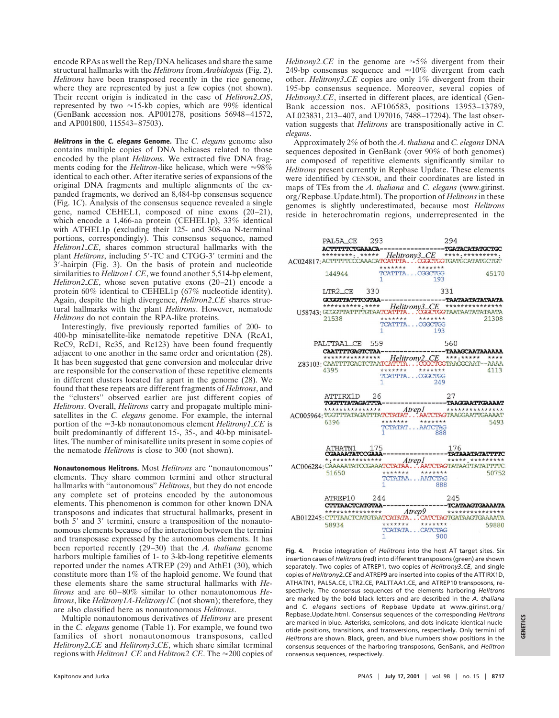encode RPAs as well the Rep/DNA helicases and share the same structural hallmarks with the *Helitrons* from *Arabidopsis* (Fig. 2). *Helitrons* have been transposed recently in the rice genome, where they are represented by just a few copies (not shown). Their recent origin is indicated in the case of *Helitron2\_OS*, represented by two  $\approx$ 15-kb copies, which are 99% identical (GenBank accession nos. AP001278, positions 56948–41572, and AP001800, 115543–87503).

**Helitrons in the C. elegans Genome.** The *C. elegans* genome also contains multiple copies of DNA helicases related to those encoded by the plant *Helitrons*. We extracted five DNA fragments coding for the *Helitron*-like helicase, which were  $\approx 98\%$ identical to each other. After iterative series of expansions of the original DNA fragments and multiple alignments of the expanded fragments, we derived an 8,484-bp consensus sequence (Fig. 1*C*). Analysis of the consensus sequence revealed a single gene, named CEHEL1, composed of nine exons (20–21), which encode a 1,466-aa protein (CEHEL1p), 33% identical with ATHEL1p (excluding their 125- and 308-aa N-terminal portions, correspondingly). This consensus sequence, named *Helitron1\_CE*, shares common structural hallmarks with the plant *Helitrons*, including 5'-TC and CTGG-3' termini and the  $3'$ -hairpin (Fig. 3). On the basis of protein and nucleotide similarities to *Helitron1*.CE, we found another 5,514-bp element, *Helitron2<sub>cE</sub>*, whose seven putative exons  $(20-21)$  encode a protein 60% identical to CEHEL1p (67% nucleotide identity). Again, despite the high divergence, *Helitron2.CE* shares structural hallmarks with the plant *Helitrons*. However, nematode *Helitrons* do not contain the RPA-like proteins.

Interestingly, five previously reported families of 200- to 400-bp minisatellite-like nematode repetitive DNA (RcA1, RcC9, RcD1, Rc35, and Rc123) have been found frequently adjacent to one another in the same order and orientation (28). It has been suggested that gene conversion and molecular drive are responsible for the conservation of these repetitive elements in different clusters located far apart in the genome (28). We found that these repeats are different fragments of *Helitrons*, and the ''clusters'' observed earlier are just different copies of *Helitrons*. Overall, *Helitrons* carry and propagate multiple minisatellites in the *C. elegans* genome. For example, the internal portion of the  $\approx$ 3-kb nonautonomous element *Helitrony1*\_*CE* is built predominantly of different 15-, 35-, and 40-bp minisatellites. The number of minisatellite units present in some copies of the nematode *Helitrons* is close to 300 (not shown).

**Nonautonomous Helitrons.** Most *Helitrons* are ''nonautonomous'' elements. They share common termini and other structural hallmarks with ''autonomous'' *Helitrons*, but they do not encode any complete set of proteins encoded by the autonomous elements. This phenomenon is common for other known DNA transposons and indicates that structural hallmarks, present in both 5' and 3' termini, ensure a transposition of the nonautonomous elements because of the interaction between the termini and transposase expressed by the autonomous elements. It has been reported recently (29–30) that the *A. thaliana* genome harbors multiple families of 1- to 3-kb-long repetitive elements reported under the names ATREP (29) and AthE1 (30), which constitute more than 1% of the haploid genome. We found that these elements share the same structural hallmarks with *Helitrons* and are 60–80% similar to other nonautonomous *Helitrons*, like *Helitrony1A-Helitrony1C* (not shown); therefore, they are also classified here as nonautonomous *Helitrons*.

Multiple nonautonomous derivatives of *Helitrons* are present in the *C. elegans* genome (Table 1). For example, we found two families of short nonautonomous transposons, called *Helitrony2\_CE* and *Helitrony3\_CE*, which share similar terminal regions with *Helitron1 CE* and *Helitron2 CE*. The  $\approx$  200 copies of *Helitrony2CE* in the genome are  $\approx$ 5% divergent from their 249-bp consensus sequence and  $\approx 10\%$  divergent from each other. *Helitrony3*<sub>-CE</sub> copies are only 1% divergent from their 195-bp consensus sequence. Moreover, several copies of *Helitrony3<sub>c</sub>CE*, inserted in different places, are identical (Gen-Bank accession nos. AF106583, positions 13953–13789, AL023831, 213–407, and U97016, 7488–17294). The last observation suggests that *Helitrons* are transpositionally active in *C. elegans*.

Approximately 2% of both the *A. thaliana* and *C. elegans* DNA sequences deposited in GenBank (over 90% of both genomes) are composed of repetitive elements significantly similar to *Helitrons* present currently in Repbase Update. These elements were identified by CENSOR, and their coordinates are listed in maps of TEs from the *A. thaliana* and *C. elegans* (www.girinst. org/Repbase\_Update.html). The proportion of *Helitrons* in these genomes is slightly underestimated, because most *Helitrons* reside in heterochromatin regions, underrepresented in the



**Fig. 4.** Precise integration of *Helitrons* into the host AT target sites. Six insertion cases of *Helitrons*(red) into different transposons (green) are shown separately. Two copies of ATREP1, two copies of *Helitrony3<sub>-</sub>CE*, and single copies of *Helitrony2* CE and ATREP9 are inserted into copies of the ATTIRX1D, ATHATN1, PAL5A\_CE, LTR2\_CE, PALTTAA1\_CE, and ATREP10 transposons, respectively. The consensus sequences of the elements harboring *Helitron*s are marked by the bold black letters and are described in the *A. thaliana* and *C. elegans* sections of Repbase Update at www.girinst.org/ Repbase\_Update.html. Consensus sequences of the corresponding *Helitrons* are marked in blue. Asterisks, semicolons, and dots indicate identical nucleotide positions, transitions, and transversions, respectively. Only termini of *Helitrons* are shown. Black, green, and blue numbers show positions in the consensus sequences of the harboring transposons, GenBank, and *Helitron* consensus sequences, respectively.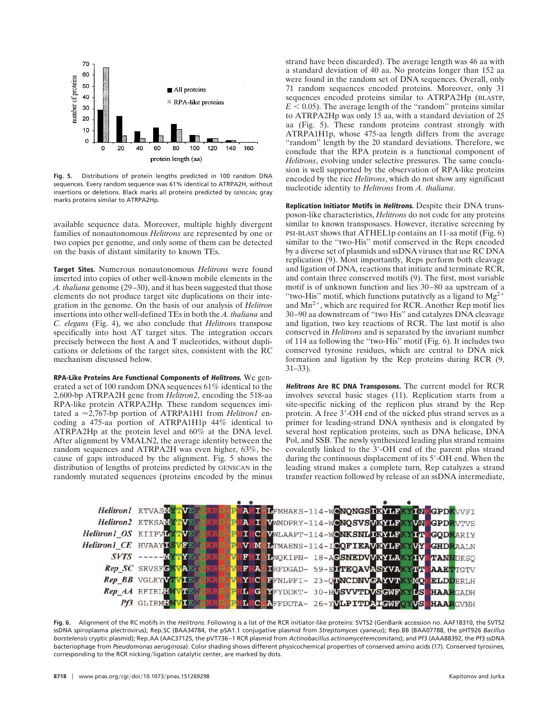

**Fig. 5.** Distributions of protein lengths predicted in 100 random DNA sequences. Every random sequence was 61% identical to ATRPA2H, without insertions or deletions. Black marks all proteins predicted by GENSCAN; gray marks proteins similar to ATRPA2Hp.

available sequence data. Moreover, multiple highly divergent families of nonautonomous *Helitrons* are represented by one or two copies per genome, and only some of them can be detected on the basis of distant similarity to known TEs.

**Target Sites.** Numerous nonautonomous *Helitrons* were found inserted into copies of other well-known mobile elements in the *A. thaliana* genome (29–30), and it has been suggested that those elements do not produce target site duplications on their integration in the genome. On the basis of our analysis of *Helitron* insertions into other well-defined TEs in both the *A. thaliana* and *C. elegans* (Fig. 4), we also conclude that *Helitron*s transpose specifically into host AT target sites. The integration occurs precisely between the host A and T nucleotides, without duplications or deletions of the target sites, consistent with the RC mechanism discussed below.

**RPA-Like Proteins Are Functional Components of Helitrons.** We generated a set of 100 random DNA sequences 61% identical to the 2,600-bp ATRPA2H gene from *Helitron2*, encoding the 518-aa RPA-like protein ATRPA2Hp. These random sequences imitated a  $\approx$ 2,767-bp portion of ATRPA1H1 from *Helitron1* encoding a 475-aa portion of ATRPA1H1p 44% identical to ATRPA2Hp at the protein level and 60% at the DNA level. After alignment by VMALN2, the average identity between the random sequences and ATRPA2H was even higher, 63%, because of gaps introduced by the alignment. Fig. 5 shows the distribution of lengths of proteins predicted by GENSCAN in the randomly mutated sequences (proteins encoded by the minus strand have been discarded). The average length was 46 aa with a standard deviation of 40 aa. No proteins longer than 152 aa were found in the random set of DNA sequences. Overall, only 71 random sequences encoded proteins. Moreover, only 31 sequences encoded proteins similar to ATRPA2Hp (BLASTP,  $E < 0.05$ ). The average length of the "random" proteins similar to ATRPA2Hp was only 15 aa, with a standard deviation of 25 aa (Fig. 5). These random proteins contrast strongly with ATRPA1H1p, whose 475-aa length differs from the average "random" length by the 20 standard deviations. Therefore, we conclude that the RPA protein is a functional component of *Helitrons*, evolving under selective pressures. The same conclusion is well supported by the observation of RPA-like proteins encoded by the rice *Helitrons*, which do not show any significant nucleotide identity to *Helitrons* from *A. thaliana*.

**Replication Initiator Motifs in Helitrons.** Despite their DNA transposon-like characteristics, *Helitrons* do not code for any proteins similar to known transposases. However, iterative screening by PSI-BLAST shows that ATHEL1p contains an 11-aa motif (Fig. 6) similar to the ''two-His'' motif conserved in the Reps encoded by a diverse set of plasmids and ssDNA viruses that use RC DNA replication (9). Most importantly, Reps perform both cleavage and ligation of DNA, reactions that initiate and terminate RCR, and contain three conserved motifs (9). The first, most variable motif is of unknown function and lies 30–80 aa upstream of a "two-His" motif, which functions putatively as a ligand to  $Mg^{2+}$ and  $Mn^{2+}$ , which are required for RCR. Another Rep motif lies 30–90 aa downstream of ''two His'' and catalyzes DNA cleavage and ligation, two key reactions of RCR. The last motif is also conserved in *Helitrons* and is separated by the invariant number of 114 aa following the ''two-His'' motif (Fig. 6). It includes two conserved tyrosine residues, which are central to DNA nick formation and ligation by the Rep proteins during RCR (9, 31–33).

**Helitrons Are RC DNA Transposons.** The current model for RCR involves several basic stages (11). Replication starts from a site-specific nicking of the replicon plus strand by the Rep protein. A free 3'-OH end of the nicked plus strand serves as a primer for leading-strand DNA synthesis and is elongated by several host replication proteins, such as DNA helicase, DNA Pol, and SSB. The newly synthesized leading plus strand remains covalently linked to the 3'-OH end of the parent plus strand during the continuous displacement of its 5'-OH end. When the leading strand makes a complete turn, Rep catalyzes a strand transfer reaction followed by release of an ssDNA intermediate,



**Fig. 6.** Alignment of the RC motifs in the *Helitrons*. Following is a list of the RCR initiator-like proteins: SVTS2 (GenBank accession no. AAF18310, the SVTS2 ssDNA spiroplasma plectrovirus); Rep\_SC (BAA34784, the pSA1.1 conjugative plasmid from *Streptomyces cyaneus*); Rep\_BB (BAA07788, the pHT926 *Bacillus* borstelensis cryptic plasmid); Rep.AA (AAC37125, the pVT736-1 RCR plasmid from *Actinobacillus actinomycetemcomitans*); and Pf3 (AAA88392, the Pf3 ssDNA bacteriophage from *Pseudomonas aeruginosa*). Color shading shows different physicochemical properties of conserved amino acids (17). Conserved tyrosines, corresponding to the RCR nicking/ligation catalytic center, are marked by dots.